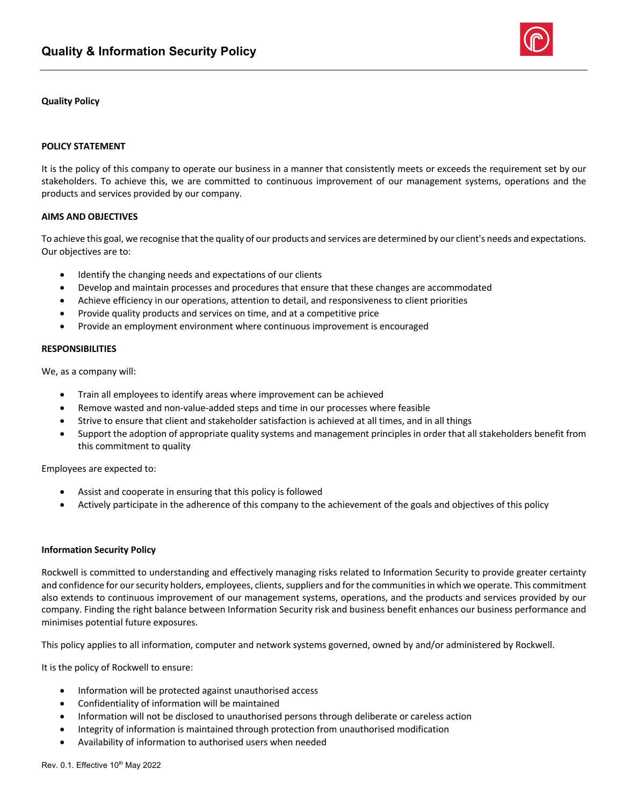

## **Quality Policy**

## **POLICY STATEMENT**

It is the policy of this company to operate our business in a manner that consistently meets or exceeds the requirement set by our stakeholders. To achieve this, we are committed to continuous improvement of our management systems, operations and the products and services provided by our company.

### **AIMS AND OBJECTIVES**

To achieve this goal, we recognise that the quality of our products and services are determined by our client's needs and expectations. Our objectives are to:

- Identify the changing needs and expectations of our clients
- Develop and maintain processes and procedures that ensure that these changes are accommodated
- Achieve efficiency in our operations, attention to detail, and responsiveness to client priorities
- Provide quality products and services on time, and at a competitive price
- Provide an employment environment where continuous improvement is encouraged

#### **RESPONSIBILITIES**

We, as a company will:

- Train all employees to identify areas where improvement can be achieved
- Remove wasted and non-value-added steps and time in our processes where feasible
- Strive to ensure that client and stakeholder satisfaction is achieved at all times, and in all things
- Support the adoption of appropriate quality systems and management principles in order that all stakeholders benefit from this commitment to quality

Employees are expected to:

- Assist and cooperate in ensuring that this policy is followed
- Actively participate in the adherence of this company to the achievement of the goals and objectives of this policy

#### **Information Security Policy**

Rockwell is committed to understanding and effectively managing risks related to Information Security to provide greater certainty and confidence for our security holders, employees, clients, suppliers and for the communities in which we operate. This commitment also extends to continuous improvement of our management systems, operations, and the products and services provided by our company. Finding the right balance between Information Security risk and business benefit enhances our business performance and minimises potential future exposures.

This policy applies to all information, computer and network systems governed, owned by and/or administered by Rockwell.

It is the policy of Rockwell to ensure:

- Information will be protected against unauthorised access
- Confidentiality of information will be maintained
- Information will not be disclosed to unauthorised persons through deliberate or careless action
- Integrity of information is maintained through protection from unauthorised modification
- Availability of information to authorised users when needed